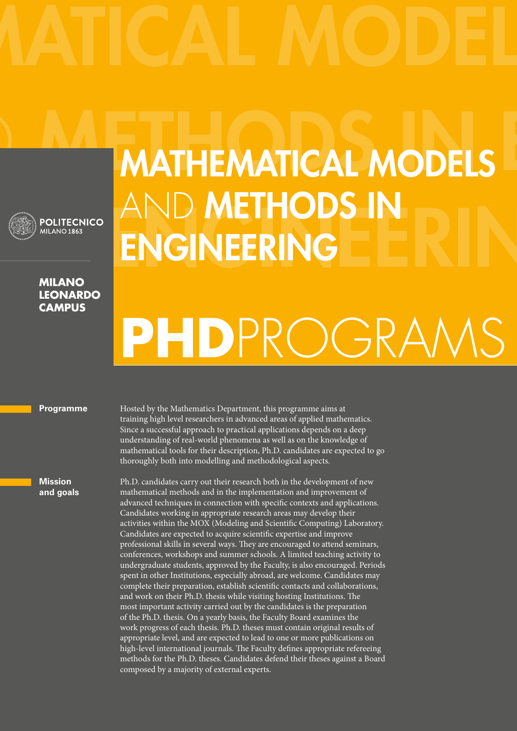

## **Milano leonardo campus**

**POLITECNICO** MILANO<sub>1863</sub>

## Mathematical Models AND METHODS IN **ENGINEERING**

# **PhD**ProgramS

## **Programme**

**Mission and goals** training high level researchers in advanced areas of applied mathematics. Since a successful approach to practical applications depends on a deep understanding of real-world phenomena as well as on the knowledge of mathematical tools for their description, Ph.D. candidates are expected to go thoroughly both into modelling and methodological aspects.

Hosted by the Mathematics Department, this programme aims at

Ph.D. candidates carry out their research both in the development of new mathematical methods and in the implementation and improvement of advanced techniques in connection with specific contexts and applications. Candidates working in appropriate research areas may develop their activities within the MOX (Modeling and Scientific Computing) Laboratory. Candidates are expected to acquire scientific expertise and improve professional skills in several ways. They are encouraged to attend seminars, conferences, workshops and summer schools. A limited teaching activity to undergraduate students, approved by the Faculty, is also encouraged. Periods spent in other Institutions, especially abroad, are welcome. Candidates may complete their preparation, establish scientific contacts and collaborations, and work on their Ph.D. thesis while visiting hosting Institutions. The most important activity carried out by the candidates is the preparation of the Ph.D. thesis. On a yearly basis, the Faculty Board examines the work progress of each thesis. Ph.D. theses must contain original results of appropriate level, and are expected to lead to one or more publications on high-level international journals. The Faculty defines appropriate refereeing methods for the Ph.D. theses. Candidates defend their theses against a Board composed by a majority of external experts.